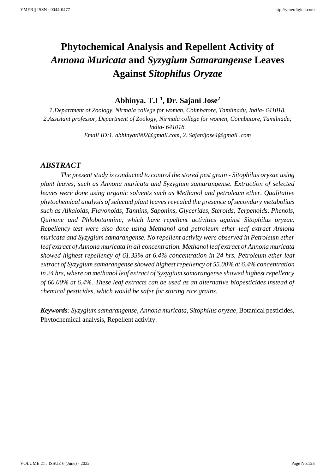# **Phytochemical Analysis and Repellent Activity of** *Annona Muricata* **and** *Syzygium Samarangense* **Leaves Against** *Sitophilus Oryzae*

**Abhinya. T.I <sup>1</sup> , Dr. Sajani Jose<sup>2</sup>**

*1.Department of Zoology, Nirmala college for women, Coimbatore, Tamilnadu, India- 641018. 2.Assistant professor, Department of Zoology, Nirmala college for women, Coimbatore, Tamilnadu, India- 641018. Email ID:1. abhinyati902@gmail.com, 2. Sajanijose4@gmail .com*

## *ABSTRACT*

 *The present study is conducted to control the stored pest grain - Sitophilus oryzae using plant leaves, such as Annona muricata and Syzygium samarangense. Extraction of selected leaves were done using organic solvents such as Methanol and petroleum ether. Qualitative phytochemical analysis of selected plant leaves revealed the presence of secondary metabolites such as Alkaloids, Flavonoids, Tannins, Saponins, Glycerides, Steroids, Terpenoids, Phenols, Quinone and Phlobotannine, which have repellent activities against Sitophilus oryzae. Repellency test were also done using Methanol and petroleum ether leaf extract Annona muricata and Syzygium samarangense. No repellent activity were observed in Petroleum ether leaf extract of Annona muricata in all concentration. Methanol leaf extract of Annona muricata showed highest repellency of 61.33% at 6.4% concentration in 24 hrs. Petroleum ether leaf extract of Syzygium samarangense showed highest repellency of 55.00% at 6.4% concentration in 24 hrs, where on methanol leaf extract of Syzygium samarangense showed highest repellency of 60.00% at 6.4%. These leaf extracts can be used as an alternative biopesticides instead of chemical pesticides, which would be safer for storing rice grains.*

*Keywords: Syzygium samarangense, Annona muricata, Sitophilus oryzae,* Botanical pesticides, Phytochemical analysis, Repellent activity.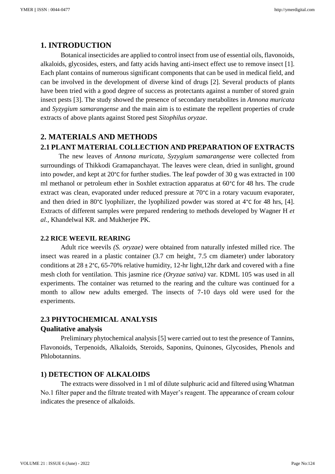### **1. INTRODUCTION**

Botanical insecticides are applied to control insect from use of essential oils, flavonoids, alkaloids, glycosides, esters, and fatty acids having anti-insect effect use to remove insect [1]. Each plant contains of numerous significant components that can be used in medical field, and can be involved in the development of diverse kind of drugs [2]. Several products of plants have been tried with a good degree of success as protectants against a number of stored grain insect pests [3]. The study showed the presence of secondary metabolites in *Annona muricata* and *Syzygium samarangense* and the main aim is to estimate the repellent properties of crude extracts of above plants against Stored pest *Sitophilus oryzae*.

## **2. MATERIALS AND METHODS** **2.1 PLANT MATERIAL COLLECTION AND PREPARATION OF EXTRACTS**

The new leaves of *Annona muricata, Syzygium samarangense* were collected from surroundings of Thikkodi Gramapanchayat. The leaves were clean, dried in sunlight, ground into powder, and kept at 20°C for further studies. The leaf powder of 30 g was extracted in 100 ml methanol or petroleum ether in Soxhlet extraction apparatus at 60°C for 48 hrs. The crude extract was clean, evaporated under reduced pressure at 70°C in a rotary vacuum evaporater, and then dried in 80 $\degree$ C lyophilizer, the lyophilized powder was stored at 4 $\degree$ C for 48 hrs, [4]. Extracts of different samples were prepared rendering to methods developed by Wagner H *et al.,* Khandelwal KR. and Mukherjee PK.

#### **2.2 RICE WEEVIL REARING**

Adult rice weevils *(S. oryzae)* were obtained from naturally infested milled rice. The insect was reared in a plastic container (3.7 cm height, 7.5 cm diameter) under laboratory conditions at  $28 \pm 2^{\circ}$ C, 65-70% relative humidity, 12-hr light,12hr dark and covered with a fine mesh cloth for ventilation. This jasmine rice *(Oryzae sativa)* var. KDML 105 was used in all experiments. The container was returned to the rearing and the culture was continued for a month to allow new adults emerged. The insects of 7-10 days old were used for the experiments.

#### **2.3 PHYTOCHEMICAL ANALYSIS**

#### **Qualitative analysis**

Preliminary phytochemical analysis [5] were carried out to test the presence of Tannins, Flavonoids, Terpenoids, Alkaloids, Steroids, Saponins, Quinones, Glycosides, Phenols and Phlobotannins.

#### **1) DETECTION OF ALKALOIDS**

The extracts were dissolved in 1 ml of dilute sulphuric acid and filtered using Whatman No.1 filter paper and the filtrate treated with Mayer's reagent. The appearance of cream colour indicates the presence of alkaloids.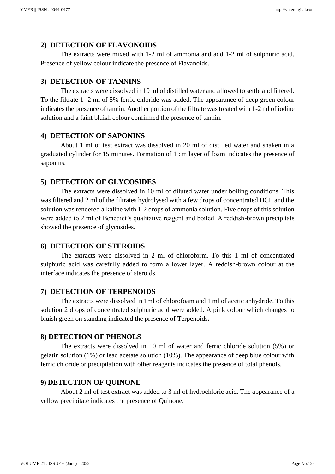#### **2) DETECTION OF FLAVONOIDS**

The extracts were mixed with 1-2 ml of ammonia and add 1-2 ml of sulphuric acid. Presence of yellow colour indicate the presence of Flavanoids.

## **3) DETECTION OF TANNINS**

The extracts were dissolved in 10 ml of distilled water and allowed to settle and filtered. To the filtrate 1- 2 ml of 5% ferric chloride was added. The appearance of deep green colour indicates the presence of tannin. Another portion of the filtrate was treated with 1-2 ml of iodine solution and a faint bluish colour confirmed the presence of tannin.

#### **4) DETECTION OF SAPONINS**

About 1 ml of test extract was dissolved in 20 ml of distilled water and shaken in a graduated cylinder for 15 minutes. Formation of 1 cm layer of foam indicates the presence of saponins.

#### **5) DETECTION OF GLYCOSIDES**

The extracts were dissolved in 10 ml of diluted water under boiling conditions. This was filtered and 2 ml of the filtrates hydrolysed with a few drops of concentrated HCL and the solution was rendered alkaline with 1-2 drops of ammonia solution. Five drops of this solution were added to 2 ml of Benedict's qualitative reagent and boiled. A reddish-brown precipitate showed the presence of glycosides.

#### **6) DETECTION OF STEROIDS**

The extracts were dissolved in 2 ml of chloroform. To this 1 ml of concentrated sulphuric acid was carefully added to form a lower layer. A reddish-brown colour at the interface indicates the presence of steroids.

#### **7) DETECTION OF TERPENOIDS**

The extracts were dissolved in 1ml of chlorofoam and 1 ml of acetic anhydride. To this solution 2 drops of concentrated sulphuric acid were added. A pink colour which changes to bluish green on standing indicated the presence of Terpenoids**.**

#### **8) DETECTION OF PHENOLS**

The extracts were dissolved in 10 ml of water and ferric chloride solution (5%) or gelatin solution (1%) or lead acetate solution (10%). The appearance of deep blue colour with ferric chloride or precipitation with other reagents indicates the presence of total phenols.

#### **9) DETECTION OF QUINONE**

About 2 ml of test extract was added to 3 ml of hydrochloric acid. The appearance of a yellow precipitate indicates the presence of Quinone.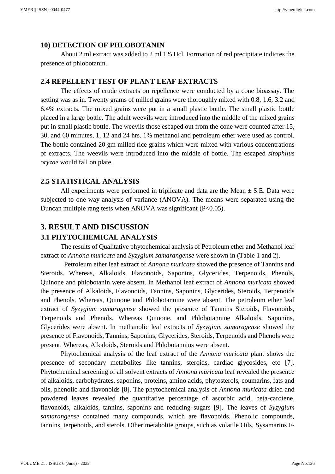#### **10) DETECTION OF PHLOBOTANIN**

About 2 ml extract was added to 2 ml 1% Hcl. Formation of red precipitate indictes the presence of phlobotanin.

#### **2.4 REPELLENT TEST OF PLANT LEAF EXTRACTS**

The effects of crude extracts on repellence were conducted by a cone bioassay. The setting was as in. Twenty grams of milled grains were thoroughly mixed with 0.8, 1.6, 3.2 and 6.4% extracts. The mixed grains were put in a small plastic bottle. The small plastic bottle placed in a large bottle. The adult weevils were introduced into the middle of the mixed grains put in small plastic bottle. The weevils those escaped out from the cone were counted after 15, 30, and 60 minutes, 1, 12 and 24 hrs. 1% methanol and petroleum ether were used as control. The bottle contained 20 gm milled rice grains which were mixed with various concentrations of extracts. The weevils were introduced into the middle of bottle. The escaped *sitophilus oryzae* would fall on plate.

#### **2.5 STATISTICAL ANALYSIS**

All experiments were performed in triplicate and data are the Mean  $\pm$  S.E. Data were subjected to one-way analysis of variance (ANOVA). The means were separated using the Duncan multiple rang tests when ANOVA was significant  $(P<0.05)$ .

# **3. RESULT AND DISCUSSION**

## **3.1 PHYTOCHEMICAL ANALYSIS**

The results of Qualitative phytochemical analysis of Petroleum ether and Methanol leaf extract of *Annona muricata* and *Syzygium samarangense* were shown in (Table 1 and 2).

 Petroleum ether leaf extract of *Annona muricata* showed the presence of Tannins and Steroids. Whereas, Alkaloids, Flavonoids, Saponins, Glycerides, Terpenoids, Phenols, Quinone and phlobotanin were absent. In Methanol leaf extract of *Annona muricata* showed the presence of Alkaloids, Flavonoids, Tannins, Saponins, Glycerides, Steroids, Terpenoids and Phenols. Whereas, Quinone and Phlobotannine were absent. The petroleum ether leaf extract of *Syzygium samaragense* showed the presence of Tannins Steroids, Flavonoids, Terpenoids and Phenols. Whereas Quinone, and Phlobotannine Alkaloids, Saponins, Glycerides were absent. In methanolic leaf extracts of *Syzygium samaragense* showed the presence of Flavonoids, Tannins, Saponins, Glycerides, Steroids, Terpenoids and Phenols were present. Whereas, Alkaloids, Steroids and Phlobotannins were absent.

Phytochemical analysis of the leaf extract of the *Annona muricata* plant shows the presence of secondary metabolites like tannins, steroids, cardiac glycosides, etc [7]. Phytochemical screening of all solvent extracts of *Annona muricata* leaf revealed the presence of alkaloids, carbohydrates, saponins, proteins, amino acids, phytosterols, coumarins, fats and oils, phenolic and flavonoids [8]. The phytochemical analysis of *Annona muricata* dried and powdered leaves revealed the quantitative percentage of ascorbic acid, beta-carotene, flavonoids, alkaloids, tannins, saponins and reducing sugars [9]. The leaves of *Syzygium samarangense* contained many compounds, which are flavonoids, Phenolic compounds, tannins, terpenoids, and sterols. Other metabolite groups, such as volatile Oils, Sysamarins F-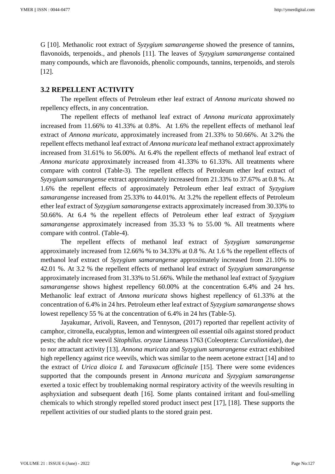G [10]. Methanolic root extract of *Syzygium samarangens*e showed the presence of tannins, flavonoids, terpenoids., and phenols [11]. The leaves of *Syzygium samarangense* contained many compounds, which are flavonoids, phenolic compounds, tannins, terpenoids, and sterols [12].

#### **3.2 REPELLENT ACTIVITY**

The repellent effects of Petroleum ether leaf extract of *Annona muricata* showed no repellency effects, in any concentration.

The repellent effects of methanol leaf extract of *Annona muricata* approximately increased from 11.66% to 41.33% at 0.8%. At 1.6% the repellent effects of methanol leaf extract of *Annona muricata*, approximately increased from 21.33% to 50.66%. At 3.2% the repellent effects methanol leaf extract of *Annona muricata* leaf methanol extract approximately increased from 31.61% to 56.00%. At 6.4% the repellent effects of methanol leaf extract of *Annona muricata* approximately increased from 41.33% to 61.33%. All treatments where compare with control (Table-3). The repellent effects of Petroleum ether leaf extract of *Syzygium samarangense* extract approximately increased from 21.33% to 37.67% at 0.8 %. At 1.6% the repellent effects of approximately Petroleum ether leaf extract of *Syzygium samarangense* increased from 25.33% to 44.01%. At 3.2% the repellent effects of Petroleum ether leaf extract of *Syzygium samarangense* extracts approximately increased from 30.33% to 50.66%. At 6.4 % the repellent effects of Petroleum ether leaf extract of *Syzygium samarangense* approximately increased from 35.33 % to 55.00 %. All treatments where compare with control. (Table-4).

The repellent effects of methanol leaf extract of *Syzygium samarangense* approximately increased from 12.66% % to 34.33% at 0.8 %. At 1.6 % the repellent effects of methanol leaf extract of *Syzygium samarangense* approximately increased from 21.10% to 42.01 %. At 3.2 % the repellent effects of methanol leaf extract of *Syzygium samarangense* approximately increased from 31.33% to 51.66%. While the methanol leaf extract of *Syzygium samarangense* shows highest repellency 60.00% at the concentration 6.4% and 24 hrs. Methanolic leaf extract of *Annona muricata* shows highest repellency of 61.33% at the concentration of 6.4% in 24 hrs. Petroleum ether leaf extract of *Syzygium samarangense* shows lowest repellency 55 % at the concentration of 6.4% in 24 hrs (Table-5).

Jayakumar, Arivoli, Raveen, and Tennyson, (2017) reported thar repellent activity of camphor, citronella, eucalyptus, lemon and wintergreen oil essential oils against stored product pests; the adult rice weevil *Sitophilus. oryzae* Linnaeus 1763 (Coleoptera: *Curculionidae*), due to nor attractant activity [13]. *Annona muricata* and *Syzygium samarangense* extract exhibited high repellency against rice weevils, which was similar to the neem acetone extract [14] and to the extract of *Urica dioica L* and *Taraxacum officinale* [15]. There were some evidences supported that the compounds present in *Annona muricata* and *Syzygium samarangense* exerted a toxic effect by troublemaking normal respiratory activity of the weevils resulting in asphyxiation and subsequent death [16]. Some plants contained irritant and foul-smelling chemicals to which strongly repelled stored product insect pest [17], [18]. These supports the repellent activities of our studied plants to the stored grain pest.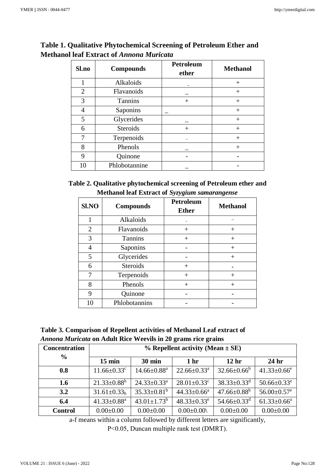| Sl.no       | <b>Compounds</b> | <b>Petroleum</b><br>ether | <b>Methanol</b> |
|-------------|------------------|---------------------------|-----------------|
| 1           | Alkaloids        |                           | $^{+}$          |
| 2           | Flavanoids       |                           | $^{+}$          |
| 3           | <b>Tannins</b>   | $^{+}$                    | $+$             |
|             | Saponins         |                           | $^{+}$          |
| 5           | Glycerides       |                           | $^{+}$          |
| 6           | <b>Steroids</b>  |                           | $^{+}$          |
|             | Terpenoids       |                           | $\,+\,$         |
| 8           | Phenols          |                           | $^{+}$          |
| $\mathbf Q$ | Quinone          |                           |                 |
| 10          | Phlobotannine    |                           |                 |

# **Table 1. Qualitative Phytochemical Screening of Petroleum Ether and Methanol leaf Extract of** *Annona Muricata*

| Table 2. Qualitative phytochemical screening of Petroleum ether and |  |
|---------------------------------------------------------------------|--|
| Methanol leaf Extract of Syzygium samarangense                      |  |

| Sl.NO          | <b>Compounds</b> | <b>Petroleum</b><br><b>Ether</b> | <b>Methanol</b>    |
|----------------|------------------|----------------------------------|--------------------|
| 1              | Alkaloids        |                                  |                    |
| $\overline{2}$ | Flavanoids       | $^{+}$                           | $^{+}$             |
| 3              | Tannins          | $^{+}$                           | $^{+}$             |
| 4              | Saponins         |                                  | $^{+}$             |
| 5              | Glycerides       |                                  | $^{+}$             |
| 6              | <b>Steroids</b>  | $^{+}$                           | $+$                |
| 7              | Terpenoids       | $^{+}$                           | $\hspace{0.1mm} +$ |
| 8              | Phenols          | $^{+}$                           | $^{+}$             |
| 9              | Quinone          |                                  |                    |
| 10             | Phlobotannins    |                                  |                    |

| Table 3. Comparison of Repellent activities of Methanol Leaf extract of |
|-------------------------------------------------------------------------|
| <i>Annona Muricata</i> on Adult Rice Weevils in 20 grams rice grains    |

| <b>Concentration</b> | $%$ Repellent activity (Mean $\pm$ SE) |                               |                               |                               |                               |  |
|----------------------|----------------------------------------|-------------------------------|-------------------------------|-------------------------------|-------------------------------|--|
| $\frac{6}{6}$        | $15 \text{ min}$                       | <b>30 min</b>                 | 1 <sub>hr</sub>               | 12 <sub>hr</sub>              | 24 <sub>hr</sub>              |  |
| 0.8                  | $11.66 \pm 0.33$ <sup>c</sup>          | $14.66 \pm 0.88$ <sup>a</sup> | $22.66 \pm 0.33$ <sup>a</sup> | $32.66 \pm 0.66^b$            | $41.33 \pm 0.66$ <sup>e</sup> |  |
| 1.6                  | $21.33 \pm 0.88^b$                     | $24.33 \pm 0.33^a$            | $28.01 \pm 0.33$ <sup>c</sup> | $38.33 \pm 0.33$ <sup>d</sup> | $50.66 \pm 0.33$ <sup>e</sup> |  |
| 3.2                  | $31.61 \pm 0.33$ <sub>b</sub>          | $35.33\pm0.81^b$              | $44.33 \pm 0.66^a$            | $47.66 \pm 0.88^b$            | $56.00 \pm 0.57$ <sup>e</sup> |  |
| 6.4                  | $41.33 \pm 0.88$ <sup>a</sup>          | $43.01 \pm 1.73$ <sup>b</sup> | $48.33 \pm 0.33^e$            | $54.66 \pm 0.33$ <sup>d</sup> | $61.33 \pm 0.66^a$            |  |
| <b>Control</b>       | $0.00 \pm 0.00$                        | $0.00 \pm 0.00$               | $0.00 \pm 0.00$               | $0.00 \pm 0.00$               | $0.00 \pm 0.00$               |  |

a-f means within a column followed by different letters are significantly,

P˂0.05, Duncan multiple rank test (DMRT).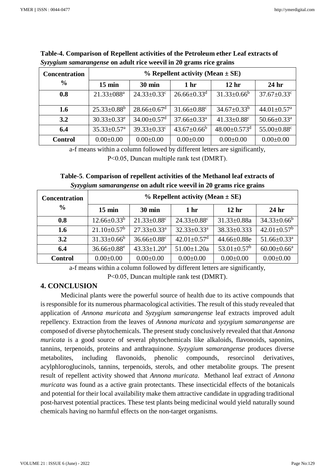| <b>Concentration</b> | $%$ Repellent activity (Mean $\pm$ SE) |                               |                               |                                |                               |  |
|----------------------|----------------------------------------|-------------------------------|-------------------------------|--------------------------------|-------------------------------|--|
| $\frac{0}{0}$        | $15 \text{ min}$                       | <b>30 min</b>                 | 1 <sub>hr</sub>               | 12 <sub>hr</sub>               | 24 <sub>hr</sub>              |  |
| 0.8                  | $21.33 \pm 088$ <sup>a</sup>           | $24.33 \pm 0.33$ <sup>c</sup> | $26.66 \pm 0.33$ <sup>d</sup> | $31.33 \pm 0.66^b$             | $37.67 \pm 0.33$ <sup>c</sup> |  |
|                      |                                        |                               |                               |                                |                               |  |
| 1.6                  | $25.33 \pm 0.88^b$                     | $28.66 \pm 0.67$ <sup>d</sup> | $31.66 \pm 0.88$ <sup>c</sup> | $34.67 \pm 0.33^b$             | $44.01 \pm 0.57$ <sup>a</sup> |  |
| 3.2                  | $30.33 \pm 0.33^e$                     | $34.00 \pm 0.57$ <sup>d</sup> | $37.66 \pm 0.33$ <sup>a</sup> | $41.33 \pm 0.88$ <sup>c</sup>  | $50.66 \pm 0.33$ <sup>a</sup> |  |
| 6.4                  | $35.33 \pm 0.57$ <sup>a</sup>          | $39.33 \pm 0.33$ <sup>c</sup> | $43.67 \pm 0.66^b$            | $48.00 \pm 0.573$ <sup>d</sup> | 55.00±0.88 <sup>c</sup>       |  |
| <b>Control</b>       | $0.00 \pm 0.00$                        | $0.00 \pm 0.00$               | $0.00 \pm 0.00$               | $0.00 \pm 0.00$                | $0.00 \pm 0.00$               |  |

**Table-4. Comparison of Repellent activities of the Petroleum ether Leaf extracts of**  *Syzygium samarangense* **on adult rice weevil in 20 grams rice grains**

a-f means within a column followed by different letters are significantly, P˂0.05, Duncan multiple rank test (DMRT).

## **Table-5**. **Comparison of repellent activities of the Methanol leaf extracts of**  *Syzygium samarangense* **on adult rice weevil in 20 grams rice grains**

| <b>Concentration</b> | $%$ Repellent activity (Mean $\pm$ SE) |                               |                               |                          |                               |
|----------------------|----------------------------------------|-------------------------------|-------------------------------|--------------------------|-------------------------------|
| $\frac{6}{9}$        | $15 \text{ min}$                       | $30 \text{ min}$              | 1 <sub>hr</sub>               | 12 <sub>hr</sub>         | 24 <sub>hr</sub>              |
| 0.8                  | $12.66 \pm 0.33^b$                     | $21.33 \pm 0.88$ <sup>c</sup> | $24.33 \pm 0.88$ <sup>c</sup> | $31.33 \pm 0.88a$        | $34.33 \pm 0.66^b$            |
| 1.6                  | $21.10 \pm 0.57^{\rm b}$               | $27.33 \pm 0.33^a$            | $32.33 \pm 0.33^a$            | $38.33 \pm 0.333$        | $42.01 \pm 0.57^{\rm b}$      |
| 3.2                  | $31.33 \pm 0.66^b$                     | $36.66 \pm 0.88$ <sup>c</sup> | $42.01 \pm 0.57$ <sup>d</sup> | $44.66 \pm 0.88$ e       | $51.66 \pm 0.33$ <sup>a</sup> |
| 6.4                  | $36.66 \pm 0.88$ <sup>e</sup>          | $43.33 \pm 1.20^a$            | $51.00 \pm 1.20a$             | $53.01 \pm 0.57^{\rm b}$ | $60.00 \pm 0.66^{\text{a}}$   |
| <b>Control</b>       | $0.00 \pm 0.00$                        | $0.00 \pm 0.00$               | $0.00 \pm 0.00$               | $0.00 \pm 0.00$          | $0.00 \pm 0.00$               |

a-f means within a column followed by different letters are significantly,

P˂0.05, Duncan multiple rank test (DMRT).

## **4. CONCLUSION**

 Medicinal plants were the powerful source of health due to its active compounds that is responsible for its numerous pharmacological activities. The result of this study revealed that application of *Annona muricata* and *Syzygium samarangense* leaf extracts improved adult repellency. Extraction from the leaves of *Annona muricata* and *syzygium samarangense* are composed of diverse phytochemicals. The present study conclusively revealed that that *Annona muricata* is a good source of several phytochemicals like alkaloids, flavonoids, saponins, tannins, terpenoids, proteins and anthraquinone. *Syzygium samarangense* produces diverse metabolites, including flavonoids, phenolic compounds, resorcinol derivatives, acylphloroglucinols, tannins, terpenoids, sterols, and other metabolite groups. The present result of repellent activity showed that *Annona muricata*. Methanol leaf extract of *Annona muricata* was found as a active grain protectants. These insecticidal effects of the botanicals and potential for their local availability make them attractive candidate in upgrading traditional post-harvest potential practices. These test plants being medicinal would yield naturally sound chemicals having no harmful effects on the non-target organisms.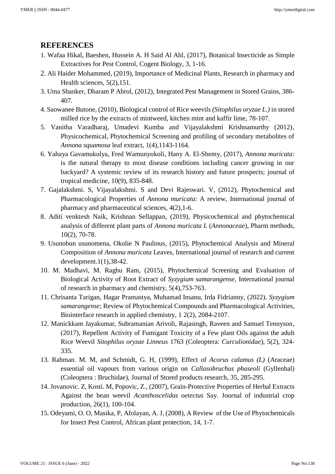## **REFERENCES**

- 1. Wafaa Hikal, Baeshen, Hussein A. H Said Al Ahl, (2017), Botanical Insecticide as Simple Extractives for Pest Control, Cogent Biology, 3, 1-16.
- 2. Ali Haider Mohammed, (2019), Importance of Medicinal Plants, Research in pharmacy and Health sciences, 5(2),151.
- 3. Uma Shanker, Dharam P Abrol, (2012), Integrated Pest Management in Stored Grains, 386- 407.
- 4. Saowanee Butone, (2010), Biological control of Rice weevils *(Sitophilus oryzae L.)* in stored milled rice by the extracts of mintweed, kitchen mint and kaffir lime, 78-107.
- 5. Vanitha Varadharaj, Umadevi Kumba and Vijayalakshmi Krishnamurthy (2012), Physicochemical, Phytochemical Screening and profiling of secondary metabolites of *Annona squamosa* leaf extract, 1(4),1143-1164.
- 6. Yahaya Gavamukulya, Fred Wamunyokoli, Hany A. El-Shemy, (2017), *Annona muricata*: is the natural therapy to most disease conditions including cancer growing in our backyard? A systemic review of its research history and future prospects; journal of tropical medicine, 10(9), 835-848.
- 7. Gajalakshmi. S, Vijayalakshmi. S and Devi Rajeswari. V, (2012), Phytochemical and Pharmacological Properties of *Annona muricata*: A review, International journal of pharmacy and pharmaceutical sciences, 4(2),1-6.
- 8. Aditi venktesh Naik, Krishnan Sellappan, (2019), Physicochemical and phytochemical analysis of different plant parts of *Annona muricata L* (*Annonaceae*), Pharm methods, 10(2), 70-78.
- 9. Usunobun usunomena, Okolie N Paulinus, (2015), Phytochemical Analysis and Mineral Composition of *Annona muricata* Leaves, International journal of research and current development. $1(1)$ , 38-42.
- 10. M. Madhavi, M. Raghu Ram, (2015), Phytochemical Screening and Evaluation of Biological Activity of Root Extract of *Syzygium samarangense*, International journal of research in pharmacy and chemistry, 5(4),753-763.
- 11. Chrisanta Tarigan, Hagar Pramastya, Muhamad Insanu, Irda Fidrianny, (2022). *Syzygium samarangense*; Review of Phytochemical Compounds and Pharmacological Activities, Biointerface research in applied chemistry, 1 2(2), 2084-2107.
- 12. Manickkam Jayakumar, Subramanian Arivoli, Rajasingh, Raveen and Samuel Tennyson, (2017), Repellent Activity of Fumigant Toxicity of a Few plant Oils against the adult Rice Weevil *Sitophilus oryzae Linneus* 1763 (Coleoptera: *Curculionidae*), 5(2), 324- 335.
- 13. Rahman. M. M, and Schmidt, G. H, (1999), Effect of *Acorus calamus (L)* (Araceae) essential oil vapours from various origin on *Callasobruchus phaseoli* (Gyllenhal) (Coleoptera : Bruchidae), Journal of Stored products research, 35, 285-295.
- 14. Jovanovic. Z, Kosti. M, Popovic, Z., (2007), Grain-Protective Properties of Herbal Extracts Against the bean weevil *Acanthoscelidas oetectus* Say. Journal of industrial crop production, 26(1), 100-104.
- 15. Odeyami, O. O, Masika, P, Afolayan, A. J, (2008), A Review of the Use of Phytochemicals for Insect Pest Control, African plant protection, 14, 1-7.